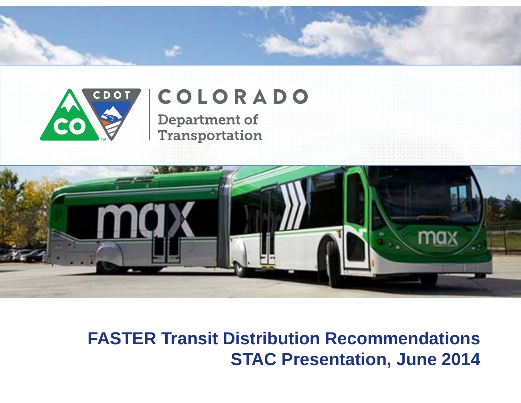



# COLORADO

**Department of** Transportation



**FASTER Transit Distribution Recommendations STAC Presentation, June 2014**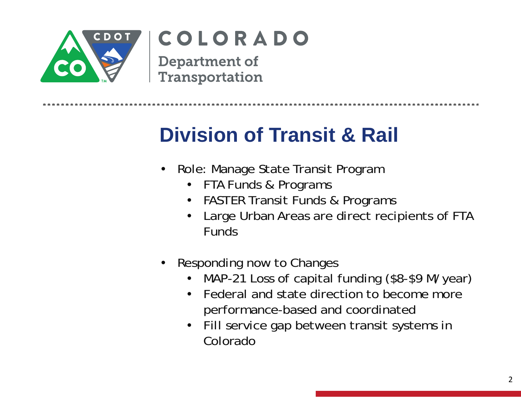

## COLORADO

**Department of** Transportation

## **Division of Transit & Rail**

- • Role: Manage State Transit Program
	- FTA Funds & Programs
	- FASTER Transit Funds & Programs
	- • Large Urban Areas are direct recipients of FTA Funds
- • Responding now to Changes
	- •MAP-21 Loss of capital funding (\$8-\$9 M/year)
	- • Federal and state direction to become more performance-based and coordinated
	- Fill service gap between transit systems in Colorado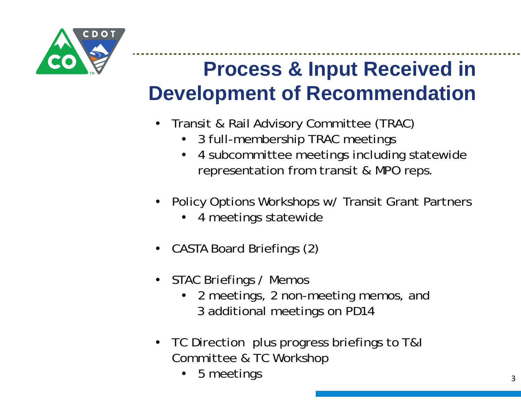

# **Process & Input Received in Development of Recommendation**

- • Transit & Rail Advisory Committee (TRAC)
	- $\bullet$ 3 full-membership TRAC meetings
	- • 4 subcommittee meetings including statewide representation from transit & MPO reps.
- • Policy Options Workshops w/ Transit Grant Partners
	- •4 meetings statewide
- •CASTA Board Briefings (2)
- STAC Briefings / Memos
	- 2 meetings, 2 non-meeting memos, and 3 additional meetings on PD14
- TC Direction plus progress briefings to T&I Committee & TC Workshop
	- •5 meetings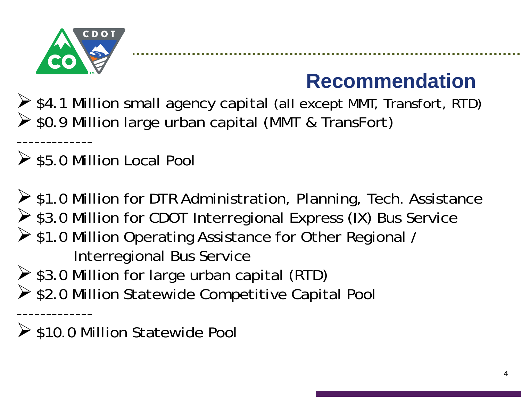

-------------

-------------

# **Recommendation**

 $\triangleright$  \$4.1 Million small agency capital (all except MMT, Transfort, RTD) ▶ \$0.9 Million large urban capital (MMT & TransFort)

 $\ge$  \$5.0 Million Local Pool

 $\triangleright$  \$1.0 Million for DTR Administration, Planning, Tech. Assistance ▶ \$3.0 Million for CDOT Interregional Express (IX) Bus Service ▶ \$1.0 Million Operating Assistance for Other Regional / Interregional Bus Service  $\triangleright$  \$3.0 Million for large urban capital (RTD) ▶ \$2.0 Million Statewide Competitive Capital Pool

 $\triangleright$  \$10.0 Million Statewide Pool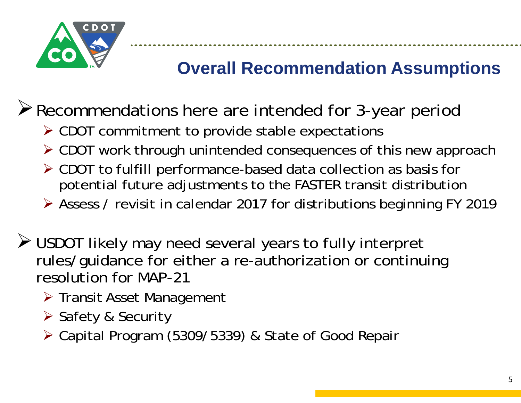

#### **Overall Recommendation Assumptions**

. . . . . . . . . . . . . . . . . .

Recommendations here are intended for 3-year period

- CDOT commitment to provide stable expectations
- CDOT work through unintended consequences of this new approach
- CDOT to fulfill performance-based data collection as basis for potential future adjustments to the FASTER transit distribution
- Assess / revisit in calendar 2017 for distributions beginning FY 2019
- USDOT likely may need several years to fully interpret rules/guidance for either a re-authorization or continuing resolution for MAP-21
	- > Transit Asset Management
	- **≻** Safety & Security
	- Capital Program (5309/5339) & State of Good Repair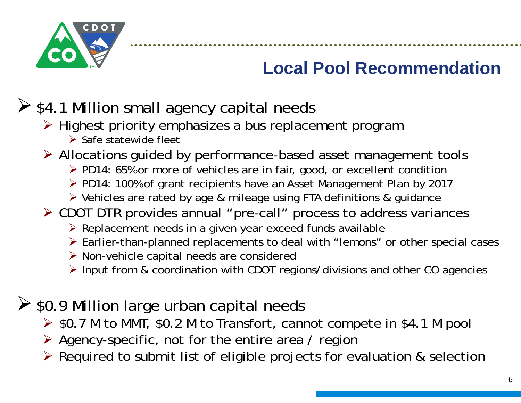

#### **Local Pool Recommendation**

................

#### $\triangleright$  \$4.1 Million small agency capital needs

- > Highest priority emphasizes a bus replacement program
	- $\triangleright$  Safe statewide fleet
- Allocations guided by performance-based asset management tools
	- ▶ PD14: 65% or more of vehicles are in fair, good, or excellent condition
	- ▶ PD14: 100% of grant recipients have an Asset Management Plan by 2017
	- Vehicles are rated by age & mileage using FTA definitions & guidance
- CDOT DTR provides annual "pre-call" process to address variances
	- ▶ Replacement needs in a given year exceed funds available
	- Earlier-than-planned replacements to deal with "lemons" or other special cases
	- Non-vehicle capital needs are considered
	- Input from & coordination with CDOT regions/divisions and other CO agencies
- $\ge$  \$0.9 Million large urban capital needs
	- **► \$0.7 M to MMT, \$0.2 M to Transfort, cannot compete in \$4.1 M pool**
	- Agency-specific, not for the entire area / region
	- $\triangleright$  Required to submit list of eligible projects for evaluation & selection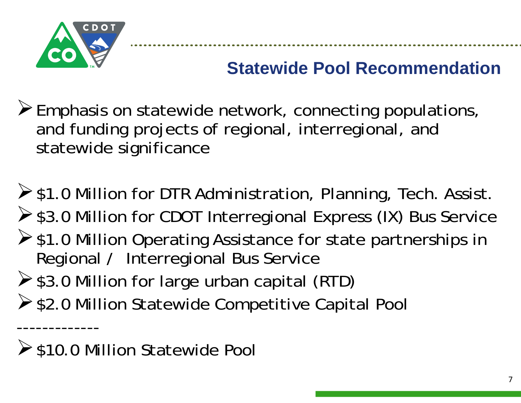

-------------

## **Statewide Pool Recommendation**

..................

- $\triangleright$  Emphasis on statewide network, connecting populations, and funding projects of regional, interregional, and statewide significance
- $\triangleright$  \$1.0 Million for DTR Administration, Planning, Tech. Assist. ▶ \$3.0 Million for CDOT Interregional Express (IX) Bus Service  $\triangleright$  \$1.0 Million Operating Assistance for state partnerships in Regional / Interregional Bus Service  $\triangleright$  \$3.0 Million for large urban capital (RTD)
- ▶ \$2.0 Million Statewide Competitive Capital Pool

**≻**\$10.0 Million Statewide Pool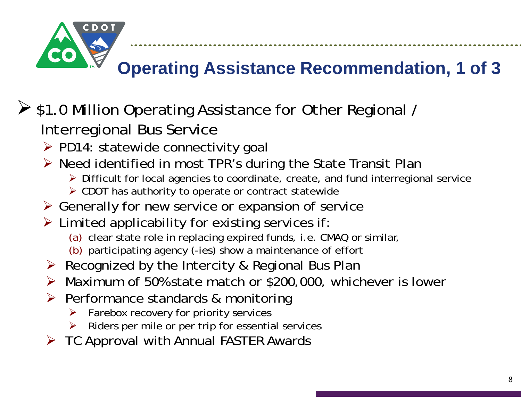

## **Operating Assistance Recommendation, 1 of 3**

#### ▶ \$1.0 Million Operating Assistance for Other Regional / Interregional Bus Service

- > PD14: statewide connectivity goal
- ▶ Need identified in most TPR's during the State Transit Plan
	- Difficult for local agencies to coordinate, create, and fund interregional service
	- CDOT has authority to operate or contract statewide
- Generally for new service or expansion of service
- $\triangleright$  Limited applicability for existing services if:
	- (a) clear state role in replacing expired funds, i.e. CMAQ or similar,
	- (b) participating agency (-ies) show a maintenance of effort
- ▶ Recognized by the Intercity & Regional Bus Plan
- Maximum of 50% state match or \$200,000, whichever is lower
- **▶ Performance standards & monitoring** 
	- $\blacktriangleright$ Farebox recovery for priority services
	- ➤ Riders per mile or per trip for essential services
- $\triangleright$  TC Approval with Annual FASTER Awards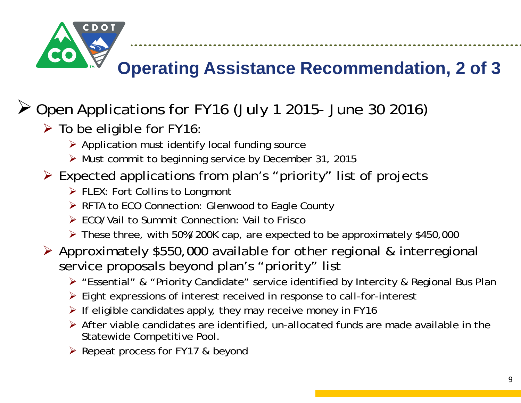

#### **Operating Assistance Recommendation, 2 of 3**

.......................

#### Open Applications for FY16 (July 1 2015- June 30 2016)

- $\triangleright$  To be eligible for FY16:
	- Application must identify local funding source
	- Must commit to beginning service by December 31, 2015
- Expected applications from plan's "priority" list of projects
	- **▶ FLEX: Fort Collins to Longmont**
	- ▶ RFTA to ECO Connection: Glenwood to Eagle County
	- ECO/Vail to Summit Connection: Vail to Frisco
	- These three, with 50%/200K cap, are expected to be approximately \$450,000
- Approximately \$550,000 available for other regional & interregional service proposals beyond plan's "priority" list
	- ▶ "Essential" & "Priority Candidate" service identified by Intercity & Regional Bus Plan
	- Eight expressions of interest received in response to call-for-interest
	- $\triangleright$  If eligible candidates apply, they may receive money in FY16
	- $\triangleright$  After viable candidates are identified, un-allocated funds are made available in the Statewide Competitive Pool.
	- ▶ Repeat process for FY17 & beyond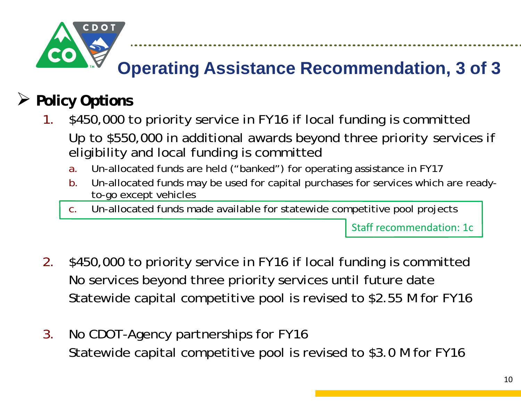

## **Operating Assistance Recommendation, 3 of 3**

............................

#### $\blacktriangleright$ **Policy Options**

- 1. \$450,000 to priority service in FY16 if local funding is committed Up to \$550,000 in additional awards beyond three priority services if eligibility and local funding is committed
	- a.Un-allocated funds are held ("banked") for operating assistance in FY17

. . . . . . . . . . . . . . . . .

- b. Un-allocated funds may be used for capital purchases for services which are readyto-go except vehicles
- c.Un-allocated funds made available for statewide competitive pool projects

Staff recommendation: 1c

- 2. \$450,000 to priority service in FY16 if local funding is committed No services beyond three priority services until future date Statewide capital competitive pool is revised to \$2.55 M for FY16
- 3. No CDOT-Agency partnerships for FY16 Statewide capital competitive pool is revised to \$3.0 M for FY16